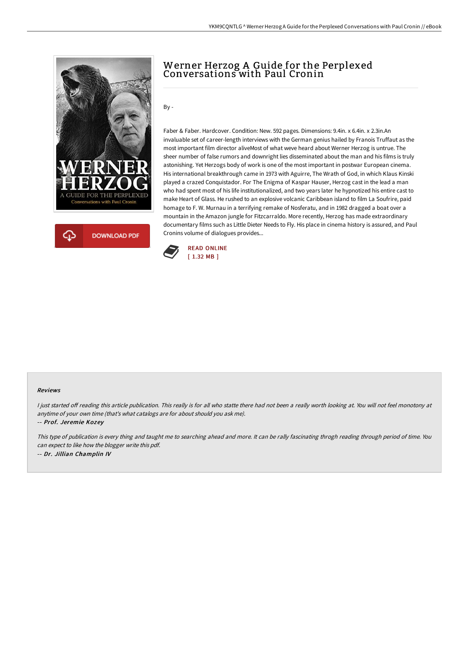



## Werner Herzog A Guide for the Perplexed Conversations with Paul Cronin

By -

Faber & Faber. Hardcover. Condition: New. 592 pages. Dimensions: 9.4in. x 6.4in. x 2.3in.An invaluable set of career-length interviews with the German genius hailed by Franois Truffaut as the most important film director aliveMost of what weve heard about Werner Herzog is untrue. The sheer number of false rumors and downright lies disseminated about the man and his films is truly astonishing. Yet Herzogs body of work is one of the most important in postwar European cinema. His international breakthrough came in 1973 with Aguirre, The Wrath of God, in which Klaus Kinski played a crazed Conquistador. For The Enigma of Kaspar Hauser, Herzog cast in the lead a man who had spent most of his life institutionalized, and two years later he hypnotized his entire cast to make Heart of Glass. He rushed to an explosive volcanic Caribbean island to film La Soufrire, paid homage to F. W. Murnau in a terrifying remake of Nosferatu, and in 1982 dragged a boat over a mountain in the Amazon jungle for Fitzcarraldo. More recently, Herzog has made extraordinary documentary films such as Little Dieter Needs to Fly. His place in cinema history is assured, and Paul Cronins volume of dialogues provides...



## Reviews

I just started off reading this article publication. This really is for all who statte there had not been a really worth looking at. You will not feel monotony at anytime of your own time (that's what catalogs are for about should you ask me).

-- Prof. Jeremie Kozey

This type of publication is every thing and taught me to searching ahead and more. It can be rally fascinating throgh reading through period of time. You can expect to like how the blogger write this pdf. -- Dr. Jillian Champlin IV